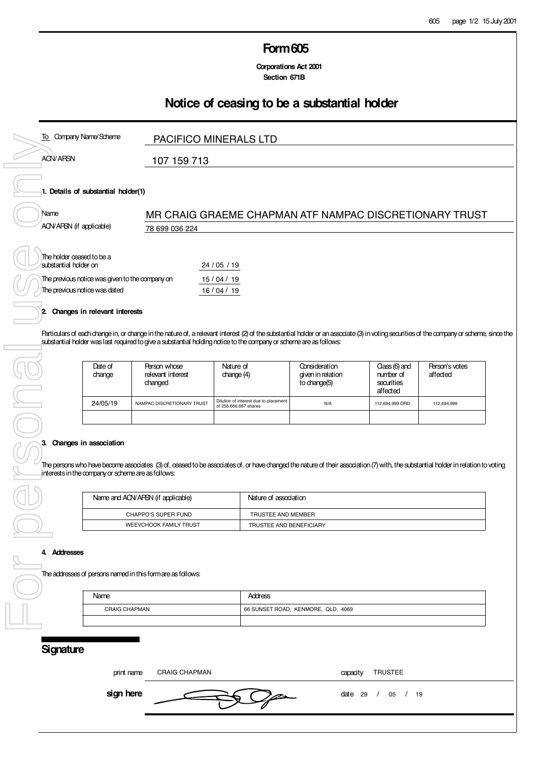### **Form 605**

 **Corporations Act 2001 Section 671B**

## **Notice of ceasing to be a substantial holder**

| To Company Name/Scheme                                                                                                                                                                                                                                                                                                                                                                                         |                                                                                                                                                                    | <b>PACIFICO MINERALS LTD</b>                                   |                                                      |                                                      |                            |  |
|----------------------------------------------------------------------------------------------------------------------------------------------------------------------------------------------------------------------------------------------------------------------------------------------------------------------------------------------------------------------------------------------------------------|--------------------------------------------------------------------------------------------------------------------------------------------------------------------|----------------------------------------------------------------|------------------------------------------------------|------------------------------------------------------|----------------------------|--|
| <b>ACN/ARSN</b>                                                                                                                                                                                                                                                                                                                                                                                                | 107 159 713                                                                                                                                                        |                                                                |                                                      |                                                      |                            |  |
| 1. Details of substantial holder(1)<br>Name<br>ACN/ARSN (if applicable)                                                                                                                                                                                                                                                                                                                                        | 78 699 036 224                                                                                                                                                     | MR CRAIG GRAEME CHAPMAN ATF NAMPAC DISCRETIONARY TRUST         |                                                      |                                                      |                            |  |
| The holder ceased to be a<br>substantial holder on<br>24 / 05 / 19<br>The previous notice was given to the company on<br>15/04/19<br>The previous notice was dated<br>16/04/19<br>2 Changes in relevant interests<br>Particulars of each change in, or change in the nature of, a relevant interest (2) of the substantial holder or an associate (3) in voting securities of the company or scheme, since the |                                                                                                                                                                    |                                                                |                                                      |                                                      |                            |  |
| Date of<br>change                                                                                                                                                                                                                                                                                                                                                                                              | substantial holder was last required to give a substantial holding notice to the company or scheme are as follows:<br>Person whose<br>relevant interest<br>changed | Nature of<br>change (4)                                        | Consideration<br>given in relation<br>to change(5)   | Class (6) and<br>number of<br>securities<br>affected | Person's votes<br>affected |  |
| 24/05/19                                                                                                                                                                                                                                                                                                                                                                                                       | NAMPAC DISCRETIONARY TRUST                                                                                                                                         | Dilution of interest due to placement<br>of 256,666,667 shares | N/A                                                  | 112,694,999 ORD                                      | 112,694,999                |  |
| 3. Changes in association<br>The persons who have become associates (3) of, ceased to be associates of, or have changed the nature of their association (7) with, the substantial holder in relation to voting<br>interests in the company or scheme are as follows:                                                                                                                                           |                                                                                                                                                                    |                                                                |                                                      |                                                      |                            |  |
| Name and ACN/AFSN (if applicable)                                                                                                                                                                                                                                                                                                                                                                              |                                                                                                                                                                    |                                                                | Nature of association                                |                                                      |                            |  |
| <b>CHAPPO'S SUPER FUND</b><br><b>WEEVCHOOK FAMILY TRUST</b>                                                                                                                                                                                                                                                                                                                                                    |                                                                                                                                                                    |                                                                | TRUSTEE AND MEMBER<br>TRUSTEE AND BENEFICIARY        |                                                      |                            |  |
| 4. Addresses<br>The addresses of persons named in this form are as follows:                                                                                                                                                                                                                                                                                                                                    |                                                                                                                                                                    |                                                                |                                                      |                                                      |                            |  |
| Name                                                                                                                                                                                                                                                                                                                                                                                                           | <b>CRAIG CHAPMAN</b>                                                                                                                                               |                                                                | <b>Address</b><br>66 SUNSET ROAD, KENMORE, QLD, 4069 |                                                      |                            |  |
|                                                                                                                                                                                                                                                                                                                                                                                                                |                                                                                                                                                                    |                                                                |                                                      |                                                      |                            |  |

#### **3. Changes in association**

| Name and ACN/ARSN (if applicable) | Nature of association   |
|-----------------------------------|-------------------------|
| CHAPPO'S SUPER FUND               | TRUSTEE AND MEMBER      |
| <b>WEEVCHOOK FAMILY TRUST</b>     | TRUSTEE AND BENEFICIARY |

#### **4. Addresses**

#### The addresses of persons named in this form are as follows:

| Name                 | Address                            |
|----------------------|------------------------------------|
| <b>CRAIG CHAPMAN</b> | 66 SUNSET ROAD, KENMORE, QLD, 4069 |
|                      |                                    |

### **Signature**

print name capacity CRAIG CHAPMAN TRUSTEE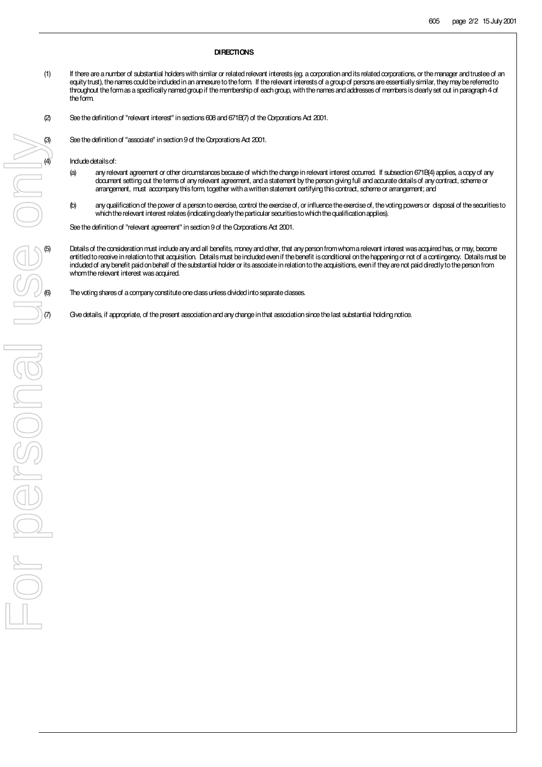#### **DIRECTIONS**

- (1) If there are a number of substantial holders with similar or related relevant interests (eg. a corporation and its related corporations, or the manager and trustee of an equity trust), the names could be included in an annexure to the form. If the relevant interests of a group of persons are essentially similar, they may be referred to throughout the form as a specifically named group if the membership of each group, with the names and addresses of members is clearly set out in paragraph 4 of the form.
- (2) See the definition of "relevant interest" in sections 608 and 671B(7) of the Corporations Act 2001.
	-

Include details of:

- (a) any relevant agreement or other circumstances because of which the change in relevant interest occurred. If subsection 671B(4) applies, a copy of any document setting out the terms of any relevant agreement, and a statement by the person giving full and accurate details of any contract, scheme or arrangement, must accompany this form, together with a written statement certifying this contract, scheme or arrangement; and
- (b) any qualification of the power of a person to exercise, control the exercise of, or influence the exercise of, the voting powers or disposal of the securities to which the relevant interest relates (indicating clearly the particular securities to which the qualification applies).

See the definition of "relevant agreement" in section 9 of the Corporations Act 2001.

Details of the consideration must include any and all benefits, money and other, that any person from whom a relevant interest was acquired has, or may, become entitled to receive in relation to that acquisition. Details must be included even if the benefit is conditional on the happening or not of a contingency. Details must be included of any benefit paid on behalf of the substantial holder or its associate in relation to the acquisitions, even if they are not paid directly to the person from whom the relevant interest was acquired.

The voting shares of a company constitute one class unless divided into separate classes.